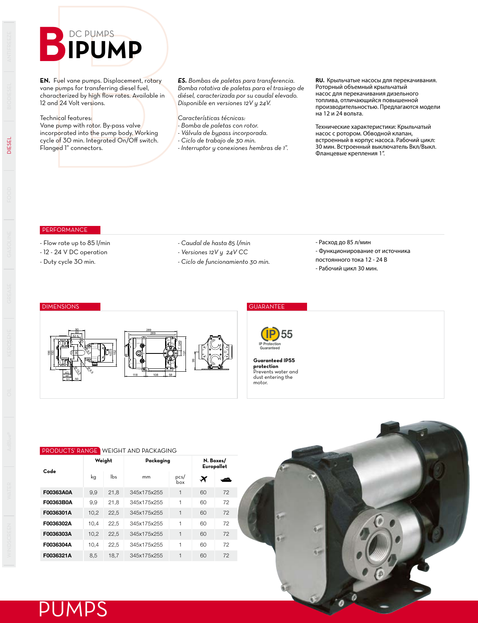## **BIPUMPS**

**EN.** Fuel vane pumps. Displacement, rotary vane pumps for transferring diesel fuel, characterized by high flow rates. Available in 12 and 24 Volt versions.

### Technical features:

Vane pump with rotor. By-pass valve incorporated into the pump body. Working cycle of 30 min. Integrated On/Off switch. Flanged 1" connectors.

*ES. Bombas de paletas para transferencia. Bomba rotativa de paletas para el trasiego de diésel, caracterizada por su caudal elevado. Disponible en versiones 12V y 24V.*

*Características técnicas:*

- *Bomba de paletas con rotor.*
- *Válvula de bypass incorporada.*
- *Ciclo de trabajo de 30 min.*

*- Interruptor y conexiones hembras de 1".*

**RU.** Крыльчатые насосы для перекачивания. Роторный объемный крыльчатый насос для перекачивания дизельного топлива, отличающийся повышенной производительностью. Предлагаются модели на 12 и 24 вольта.

Технические характеристики: Крыльчатый насос с ротором. Обводной клапан, встроенный в корпус насоса. Рабочий цикл: 30 мин. Встроенный выключатель Вкл/Выкл. Фланцевые крепления 1".

## **PERFORMANCE**

- Flow rate up to 85 l/min
- 12 24 V DC operation
- Duty cycle 30 min.
- *Caudal de hasta 85 l/min*
- *Versiones 12V y 24V CC*

191

8

1" GAS

118 108 58

289 269 *- Ciclo de funcionamiento 30 min.*

IP Protection Guaranteed

**Guaranteed IP55 protection** Prevents water and dust entering the motor.

**IP** 55

- Расход до 85 л/мин
- Функционирование от источника
- постоянного тока 12 24 В
- Рабочий цикл 30 мин.

### DIMENSIONS GUARANTEE

186 150

43

46  $51 - 50$ 

70 8

Ø 13,5

 $\mathfrak{S}_\sigma$ 

 $\overline{\mathbb{F}_{\!\scriptscriptstyle\circ\!\circ\!\circ}}$ 

52.5 60 90

PUMPS

DIESEL

# PRODUCTS' RANGE WEIGHT AND PACKAGING

152 103.6

| Code      | Weight |      | Packaging        | N. Boxes/<br>Europallet |                       |    |  |
|-----------|--------|------|------------------|-------------------------|-----------------------|----|--|
|           | kg     | lbs. | mm               | pcs/<br>box             | $\boldsymbol{\times}$ | دس |  |
| F00363A0A | 9,9    | 21,8 | 345x175x255      | 1                       | 60                    | 72 |  |
| F00363B0A | 9.9    | 21.8 | 345x175x255      | 1                       | 60                    | 72 |  |
| F0036301A | 10,2   | 22.5 | 345x175x255      | 1                       | 60                    | 72 |  |
| F0036302A | 10,4   | 22,5 | 345x175x255      | 1                       | 60                    | 72 |  |
| F0036303A | 10,2   | 22.5 | 345x175x255      | 1                       | 60                    | 72 |  |
| F0036304A | 10.4   | 22.5 | 345x175x255      | 1                       | 60                    | 72 |  |
| F0036321A | 8,5    | 18.7 | 1<br>345x175x255 |                         | 60                    | 72 |  |
|           |        |      |                  |                         |                       |    |  |